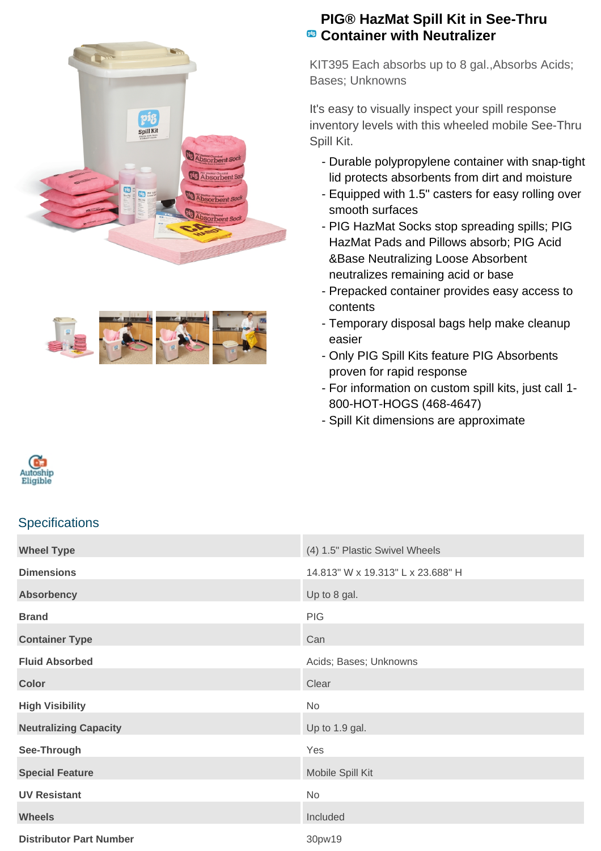



## **PIG® HazMat Spill Kit in See-Thru <sup><b><sup>8</sup>**</sup> Container with Neutralizer

KIT395 Each absorbs up to 8 gal.,Absorbs Acids; Bases; Unknowns

It's easy to visually inspect your spill response inventory levels with this wheeled mobile See-Thru Spill Kit.

- Durable polypropylene container with snap-tight lid protects absorbents from dirt and moisture
- Equipped with 1.5" casters for easy rolling over smooth surfaces
- PIG HazMat Socks stop spreading spills; PIG HazMat Pads and Pillows absorb; PIG Acid &Base Neutralizing Loose Absorbent neutralizes remaining acid or base
- Prepacked container provides easy access to contents
- Temporary disposal bags help make cleanup easier
- Only PIG Spill Kits feature PIG Absorbents proven for rapid response
- For information on custom spill kits, just call 1-800-HOT-HOGS (468-4647)
- Spill Kit dimensions are approximate



## **Specifications**

| <b>Wheel Type</b>              | (4) 1.5" Plastic Swivel Wheels    |
|--------------------------------|-----------------------------------|
| <b>Dimensions</b>              | 14.813" W x 19.313" L x 23.688" H |
| <b>Absorbency</b>              | Up to 8 gal.                      |
| <b>Brand</b>                   | <b>PIG</b>                        |
| <b>Container Type</b>          | Can                               |
| <b>Fluid Absorbed</b>          | Acids; Bases; Unknowns            |
| <b>Color</b>                   | Clear                             |
| <b>High Visibility</b>         | No                                |
| <b>Neutralizing Capacity</b>   | Up to 1.9 gal.                    |
| See-Through                    | Yes                               |
| <b>Special Feature</b>         | Mobile Spill Kit                  |
| <b>UV Resistant</b>            | No                                |
| <b>Wheels</b>                  | Included                          |
| <b>Distributor Part Number</b> | 30pw19                            |